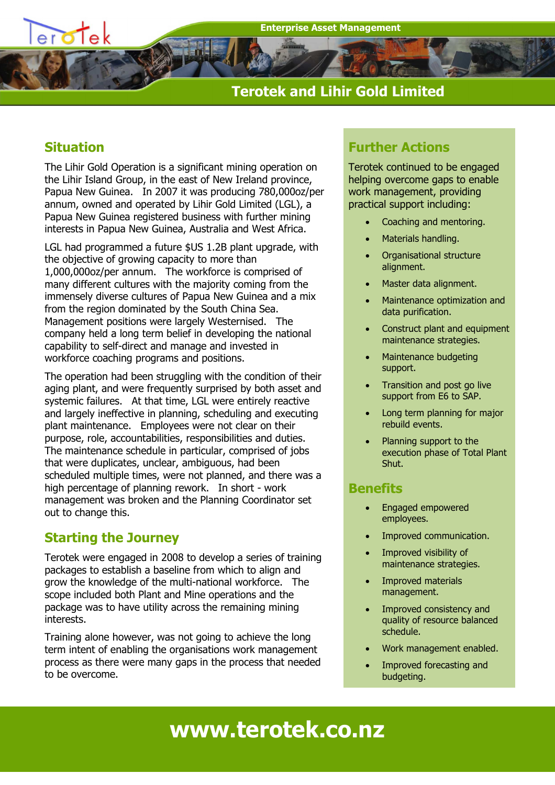# **Terotek and Lihir Gold Limited**

# **Situation**

The Lihir Gold Operation is a significant mining operation on the Lihir Island Group, in the east of New Ireland province, Papua New Guinea. In 2007 it was producing 780,000oz/per annum, owned and operated by Lihir Gold Limited (LGL), a Papua New Guinea registered business with further mining interests in Papua New Guinea, Australia and West Africa.

LGL had programmed a future \$US 1.2B plant upgrade, with the objective of growing capacity to more than 1,000,000oz/per annum. The workforce is comprised of many different cultures with the majority coming from the immensely diverse cultures of Papua New Guinea and a mix from the region dominated by the South China Sea. Management positions were largely Westernised. The company held a long term belief in developing the national capability to self-direct and manage and invested in workforce coaching programs and positions.

The operation had been struggling with the condition of their aging plant, and were frequently surprised by both asset and systemic failures. At that time, LGL were entirely reactive and largely ineffective in planning, scheduling and executing plant maintenance. Employees were not clear on their purpose, role, accountabilities, responsibilities and duties. The maintenance schedule in particular, comprised of jobs that were duplicates, unclear, ambiguous, had been scheduled multiple times, were not planned, and there was a high percentage of planning rework. In short - work management was broken and the Planning Coordinator set out to change this.

# **Starting the Journey**

Terotek were engaged in 2008 to develop a series of training packages to establish a baseline from which to align and grow the knowledge of the multi-national workforce. The scope included both Plant and Mine operations and the package was to have utility across the remaining mining interests.

Training alone however, was not going to achieve the long term intent of enabling the organisations work management process as there were many gaps in the process that needed to be overcome.

# **Further Actions**

Terotek continued to be engaged helping overcome gaps to enable work management, providing practical support including:

- Coaching and mentoring.
- Materials handling.
- Organisational structure alignment.
- Master data alignment.
- Maintenance optimization and data purification.
- Construct plant and equipment maintenance strategies.
- Maintenance budgeting support.
- Transition and post go live support from E6 to SAP.
- Long term planning for major rebuild events.
- Planning support to the execution phase of Total Plant Shut.

### **Benefits**

- Engaged empowered employees.
- Improved communication.
- Improved visibility of maintenance strategies.
- Improved materials management.
- Improved consistency and quality of resource balanced schedule.
- Work management enabled.
- Improved forecasting and budgeting.

**www.terotek.co.nz**